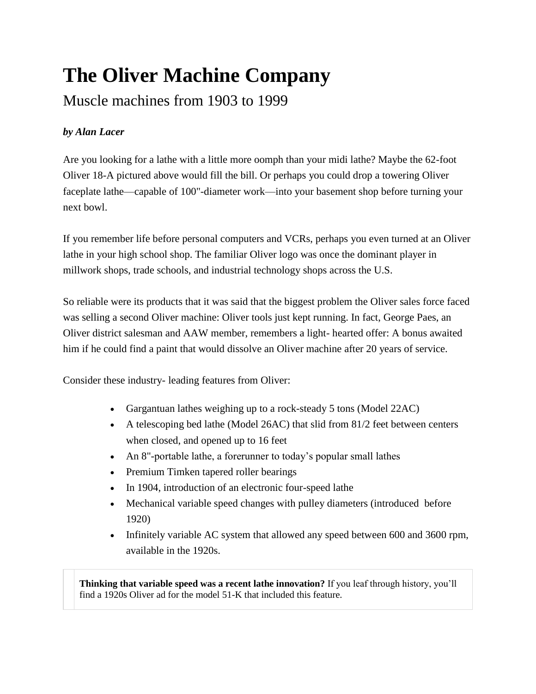## **The Oliver Machine Company**

## Muscle machines from 1903 to 1999

## *by Alan Lacer*

Are you looking for a lathe with a little more oomph than your midi lathe? Maybe the 62-foot Oliver 18-A pictured above would fill the bill. Or perhaps you could drop a towering Oliver faceplate lathe—capable of 100"-diameter work—into your basement shop before turning your next bowl.

If you remember life before personal computers and VCRs, perhaps you even turned at an Oliver lathe in your high school shop. The familiar Oliver logo was once the dominant player in millwork shops, trade schools, and industrial technology shops across the U.S.

So reliable were its products that it was said that the biggest problem the Oliver sales force faced was selling a second Oliver machine: Oliver tools just kept running. In fact, George Paes, an Oliver district salesman and AAW member, remembers a light- hearted offer: A bonus awaited him if he could find a paint that would dissolve an Oliver machine after 20 years of service.

Consider these industry- leading features from Oliver:

- Gargantuan lathes weighing up to a rock-steady 5 tons (Model 22AC)
- A telescoping bed lathe (Model 26AC) that slid from 81/2 feet between centers when closed, and opened up to 16 feet
- An 8"-portable lathe, a forerunner to today's popular small lathes
- Premium Timken tapered roller bearings
- In 1904, introduction of an electronic four-speed lathe
- Mechanical variable speed changes with pulley diameters (introduced before 1920)
- Infinitely variable AC system that allowed any speed between 600 and 3600 rpm, available in the 1920s.

**Thinking that variable speed was a recent lathe innovation?** If you leaf through history, you'll find a 1920s Oliver ad for the model 51-K that included this feature.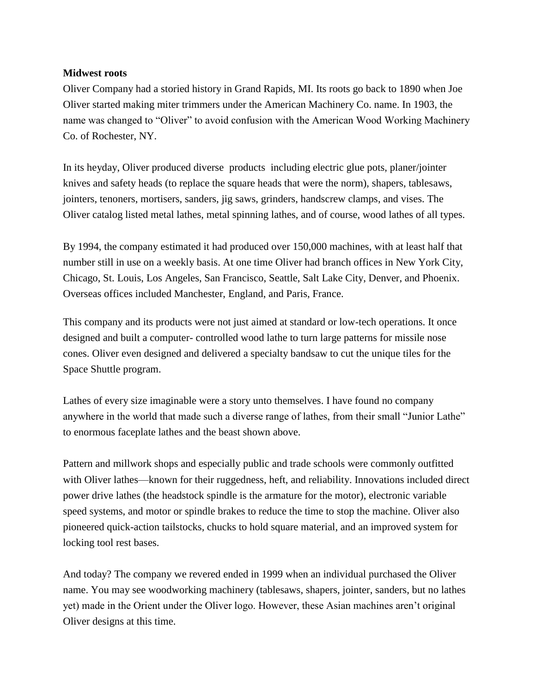## **Midwest roots**

Oliver Company had a storied history in Grand Rapids, MI. Its roots go back to 1890 when Joe Oliver started making miter trimmers under the American Machinery Co. name. In 1903, the name was changed to "Oliver" to avoid confusion with the American Wood Working Machinery Co. of Rochester, NY.

In its heyday, Oliver produced diverse products including electric glue pots, planer/jointer knives and safety heads (to replace the square heads that were the norm), shapers, tablesaws, jointers, tenoners, mortisers, sanders, jig saws, grinders, handscrew clamps, and vises. The Oliver catalog listed metal lathes, metal spinning lathes, and of course, wood lathes of all types.

By 1994, the company estimated it had produced over 150,000 machines, with at least half that number still in use on a weekly basis. At one time Oliver had branch offices in New York City, Chicago, St. Louis, Los Angeles, San Francisco, Seattle, Salt Lake City, Denver, and Phoenix. Overseas offices included Manchester, England, and Paris, France.

This company and its products were not just aimed at standard or low-tech operations. It once designed and built a computer- controlled wood lathe to turn large patterns for missile nose cones. Oliver even designed and delivered a specialty bandsaw to cut the unique tiles for the Space Shuttle program.

Lathes of every size imaginable were a story unto themselves. I have found no company anywhere in the world that made such a diverse range of lathes, from their small "Junior Lathe" to enormous faceplate lathes and the beast shown above.

Pattern and millwork shops and especially public and trade schools were commonly outfitted with Oliver lathes—known for their ruggedness, heft, and reliability. Innovations included direct power drive lathes (the headstock spindle is the armature for the motor), electronic variable speed systems, and motor or spindle brakes to reduce the time to stop the machine. Oliver also pioneered quick-action tailstocks, chucks to hold square material, and an improved system for locking tool rest bases.

And today? The company we revered ended in 1999 when an individual purchased the Oliver name. You may see woodworking machinery (tablesaws, shapers, jointer, sanders, but no lathes yet) made in the Orient under the Oliver logo. However, these Asian machines aren't original Oliver designs at this time.